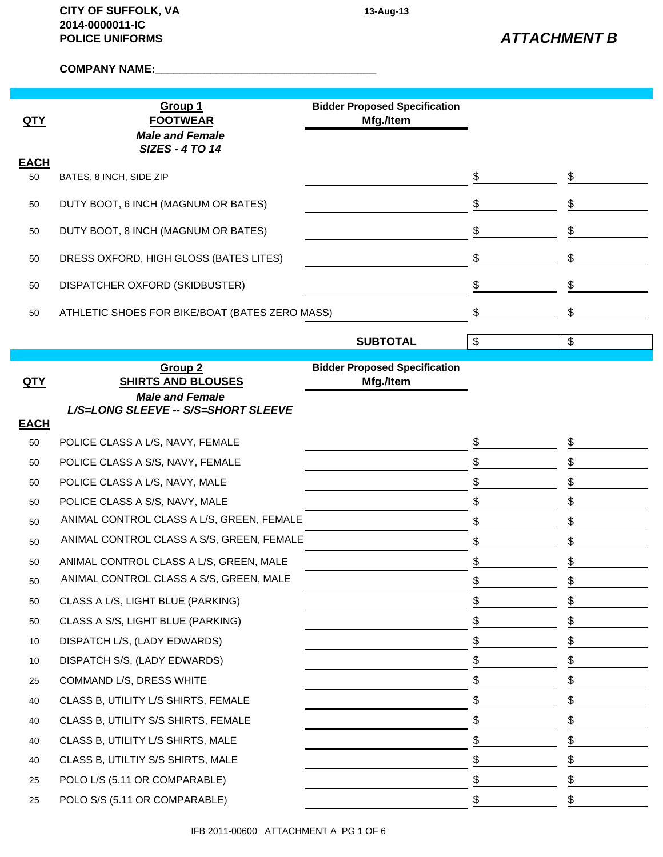**COMPANY NAME:\_\_\_\_\_\_\_\_\_\_\_\_\_\_\_\_\_\_\_\_\_\_\_\_\_\_\_\_\_\_\_\_\_\_\_\_**

| QTY               | Group 1<br><b>FOOTWEAR</b>                       | <b>Bidder Proposed Specification</b><br>Mfg./Item |                           |                           |
|-------------------|--------------------------------------------------|---------------------------------------------------|---------------------------|---------------------------|
|                   | <b>Male and Female</b><br><b>SIZES - 4 TO 14</b> |                                                   |                           |                           |
| <b>EACH</b><br>50 | BATES, 8 INCH, SIDE ZIP                          |                                                   | \$                        | \$                        |
| 50                | DUTY BOOT, 6 INCH (MAGNUM OR BATES)              |                                                   | \$                        | \$                        |
| 50                | DUTY BOOT, 8 INCH (MAGNUM OR BATES)              |                                                   | \$                        | \$                        |
| 50                | DRESS OXFORD, HIGH GLOSS (BATES LITES)           |                                                   | \$                        | \$                        |
|                   |                                                  |                                                   |                           |                           |
| 50                | DISPATCHER OXFORD (SKIDBUSTER)                   |                                                   | \$                        | \$                        |
| 50                | ATHLETIC SHOES FOR BIKE/BOAT (BATES ZERO MASS)   |                                                   | \$                        | \$                        |
|                   |                                                  | <b>SUBTOTAL</b>                                   | $\boldsymbol{\mathsf{S}}$ | $\boldsymbol{\mathsf{S}}$ |
|                   |                                                  |                                                   |                           |                           |
| <u>QTY</u>        | Group <sub>2</sub><br><b>SHIRTS AND BLOUSES</b>  | <b>Bidder Proposed Specification</b><br>Mfg./Item |                           |                           |
|                   | <b>Male and Female</b>                           |                                                   |                           |                           |
| <b>EACH</b>       | L/S=LONG SLEEVE -- S/S=SHORT SLEEVE              |                                                   |                           |                           |
| 50                | POLICE CLASS A L/S, NAVY, FEMALE                 |                                                   | \$                        | \$                        |
| 50                | POLICE CLASS A S/S, NAVY, FEMALE                 |                                                   | \$                        | \$                        |
| 50                | POLICE CLASS A L/S, NAVY, MALE                   |                                                   | \$                        | \$                        |
| 50                | POLICE CLASS A S/S, NAVY, MALE                   |                                                   | \$                        | \$                        |
| 50                | ANIMAL CONTROL CLASS A L/S, GREEN, FEMALE        |                                                   | \$                        | \$                        |
| 50                | ANIMAL CONTROL CLASS A S/S, GREEN, FEMALE        |                                                   | \$                        | \$                        |
| 50                | ANIMAL CONTROL CLASS A L/S, GREEN, MALE          |                                                   | \$                        | \$                        |
| 50                | ANIMAL CONTROL CLASS A S/S, GREEN, MALE          |                                                   | $\frac{1}{2}$             | \$                        |
| 50                | CLASS A L/S, LIGHT BLUE (PARKING)                |                                                   | \$                        | \$                        |
| 50                | CLASS A S/S, LIGHT BLUE (PARKING)                |                                                   | \$                        | \$                        |
| 10                | DISPATCH L/S, (LADY EDWARDS)                     |                                                   | \$                        | \$                        |
| 10                | DISPATCH S/S, (LADY EDWARDS)                     |                                                   | \$                        | \$                        |
| 25                | COMMAND L/S, DRESS WHITE                         |                                                   | \$                        | \$                        |
| 40                | CLASS B, UTILITY L/S SHIRTS, FEMALE              |                                                   | \$                        | \$                        |
| 40                | CLASS B, UTILITY S/S SHIRTS, FEMALE              |                                                   | \$                        | \$                        |
| 40                | CLASS B, UTILITY L/S SHIRTS, MALE                |                                                   | \$                        | \$                        |
| 40                | CLASS B, UTILTIY S/S SHIRTS, MALE                |                                                   | \$                        | \$                        |
| 25                | POLO L/S (5.11 OR COMPARABLE)                    |                                                   | \$                        | \$                        |
| 25                | POLO S/S (5.11 OR COMPARABLE)                    |                                                   | \$                        | \$                        |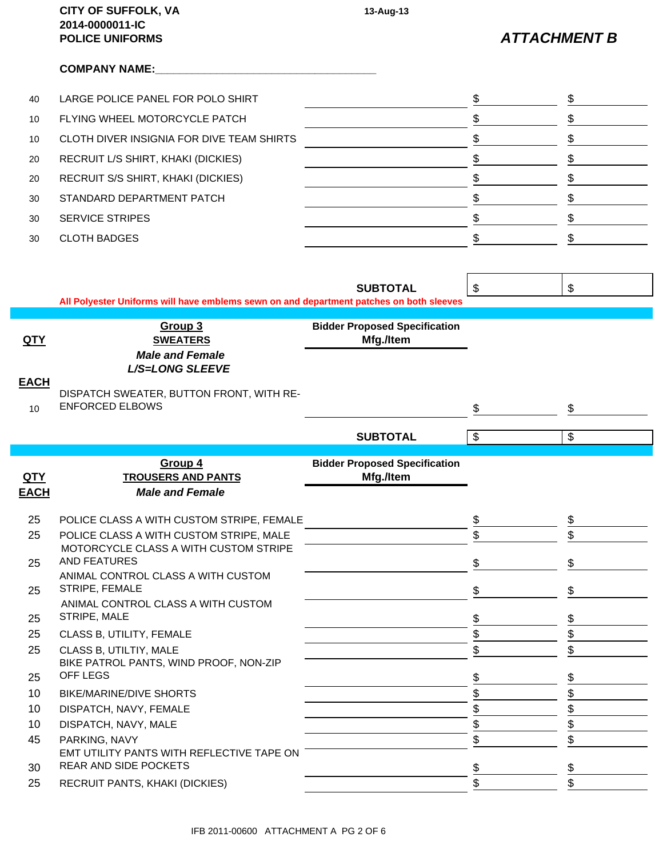|                  | <b>CITY OF SUFFOLK, VA</b><br>2014-0000011-IC<br><b>POLICE UNIFORMS</b>                 | 13-Aug-13                            |                           | <b>ATTACHMENT B</b> |
|------------------|-----------------------------------------------------------------------------------------|--------------------------------------|---------------------------|---------------------|
|                  | <b>COMPANY NAME:</b>                                                                    |                                      |                           |                     |
| 40               | LARGE POLICE PANEL FOR POLO SHIRT                                                       |                                      | \$                        | \$                  |
| 10               | FLYING WHEEL MOTORCYCLE PATCH                                                           |                                      | \$                        | \$                  |
| 10               | CLOTH DIVER INSIGNIA FOR DIVE TEAM SHIRTS                                               |                                      | \$                        | \$                  |
| 20               | RECRUIT L/S SHIRT, KHAKI (DICKIES)                                                      |                                      | \$                        | \$                  |
| 20               | RECRUIT S/S SHIRT, KHAKI (DICKIES)                                                      |                                      | \$                        | \$                  |
| 30               | STANDARD DEPARTMENT PATCH                                                               |                                      | \$                        | \$                  |
| 30               | <b>SERVICE STRIPES</b>                                                                  |                                      | \$                        | \$                  |
| 30               | <b>CLOTH BADGES</b>                                                                     |                                      | \$                        | \$                  |
|                  |                                                                                         |                                      |                           |                     |
|                  |                                                                                         |                                      |                           |                     |
|                  |                                                                                         | <b>SUBTOTAL</b>                      | $\mathfrak{S}$            | \$                  |
|                  | All Polyester Uniforms will have emblems sewn on and department patches on both sleeves |                                      |                           |                     |
|                  | Group 3                                                                                 | <b>Bidder Proposed Specification</b> |                           |                     |
| <u>QTY</u>       | <b>SWEATERS</b>                                                                         | Mfg./Item                            |                           |                     |
|                  | <b>Male and Female</b><br><b>L/S=LONG SLEEVE</b>                                        |                                      |                           |                     |
| <b>EACH</b>      |                                                                                         |                                      |                           |                     |
| 10 <sup>10</sup> | DISPATCH SWEATER, BUTTON FRONT, WITH RE-<br><b>ENFORCED ELBOWS</b>                      |                                      | \$                        | \$                  |
|                  |                                                                                         |                                      |                           |                     |
|                  |                                                                                         | <b>SUBTOTAL</b>                      | $\boldsymbol{\mathsf{S}}$ | \$                  |
|                  | Group 4                                                                                 | <b>Bidder Proposed Specification</b> |                           |                     |
| <b>QTY</b>       | <b>TROUSERS AND PANTS</b>                                                               | Mfg./Item                            |                           |                     |
| <b>EACH</b>      | <b>Male and Female</b>                                                                  |                                      |                           |                     |
| 25               | POLICE CLASS A WITH CUSTOM STRIPE, FEMALE                                               |                                      | \$                        | \$                  |
| 25               | POLICE CLASS A WITH CUSTOM STRIPE, MALE                                                 |                                      | \$                        |                     |
|                  | MOTORCYCLE CLASS A WITH CUSTOM STRIPE<br><b>AND FEATURES</b>                            |                                      |                           |                     |
| 25               | ANIMAL CONTROL CLASS A WITH CUSTOM                                                      |                                      | \$                        | \$                  |
| 25               | STRIPE, FEMALE                                                                          |                                      | \$                        | \$                  |
| 25               | ANIMAL CONTROL CLASS A WITH CUSTOM<br>STRIPE, MALE                                      |                                      | \$                        | \$                  |
| 25               | CLASS B, UTILITY, FEMALE                                                                |                                      | \$                        | \$                  |
| 25               | CLASS B, UTILTIY, MALE                                                                  |                                      | \$                        | \$                  |
|                  | BIKE PATROL PANTS, WIND PROOF, NON-ZIP                                                  |                                      |                           |                     |
| 25<br>10         | OFF LEGS<br><b>BIKE/MARINE/DIVE SHORTS</b>                                              |                                      | \$                        | \$<br>\$            |
| 10               | DISPATCH, NAVY, FEMALE                                                                  |                                      | \$                        | \$                  |
| 10 <sup>°</sup>  | DISPATCH, NAVY, MALE                                                                    |                                      | \$                        | \$                  |
| 45               | PARKING, NAVY                                                                           |                                      | \$                        | \$                  |
|                  |                                                                                         |                                      |                           |                     |
|                  | EMT UTILITY PANTS WITH REFLECTIVE TAPE ON                                               |                                      |                           |                     |
| 30<br>25         | REAR AND SIDE POCKETS<br>RECRUIT PANTS, KHAKI (DICKIES)                                 |                                      | \$<br>\$                  | \$<br>\$            |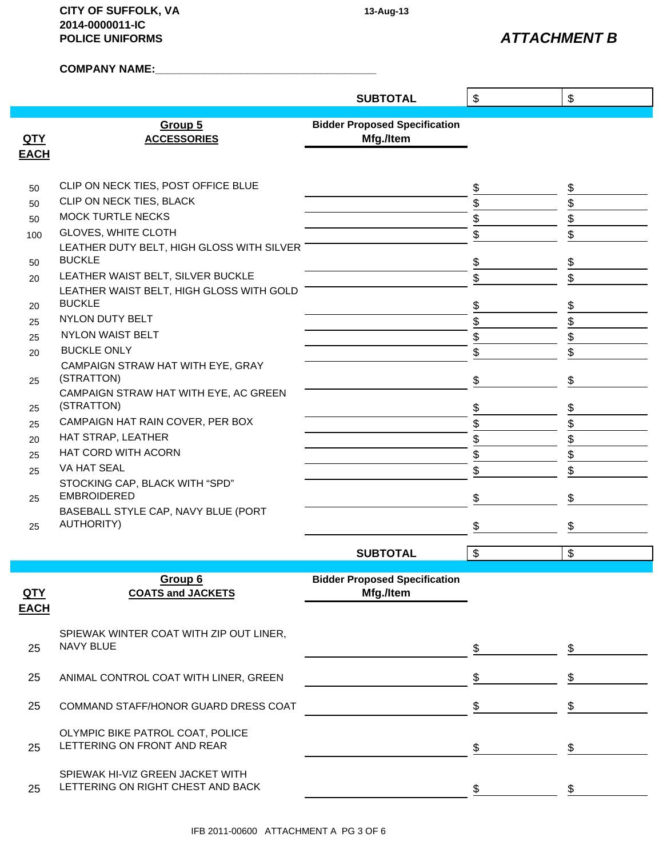**CITY OF SUFFOLK, VA 13-Aug-13 2014-0000011-IC POLICE UNIFORMS**

*ATTACHMENT B*

**COMPANY NAME:\_\_\_\_\_\_\_\_\_\_\_\_\_\_\_\_\_\_\_\_\_\_\_\_\_\_\_\_\_\_\_\_\_\_\_\_**

| $\boldsymbol{\mathsf{S}}$<br><b>SUBTOTAL</b><br><b>Bidder Proposed Specification</b><br>Group 5<br><u>QTY</u><br>Mfg./Item<br><b>ACCESSORIES</b> | $\sqrt[6]{\frac{1}{2}}$ |
|--------------------------------------------------------------------------------------------------------------------------------------------------|-------------------------|
|                                                                                                                                                  |                         |
|                                                                                                                                                  |                         |
| <b>EACH</b>                                                                                                                                      |                         |
| CLIP ON NECK TIES, POST OFFICE BLUE<br>\$<br>50                                                                                                  | \$                      |
| CLIP ON NECK TIES, BLACK<br>\$<br>50                                                                                                             | \$                      |
| <b>MOCK TURTLE NECKS</b><br>\$<br>50                                                                                                             | \$                      |
| <b>GLOVES, WHITE CLOTH</b><br>\$<br>100                                                                                                          | \$                      |
| LEATHER DUTY BELT, HIGH GLOSS WITH SILVER<br><b>BUCKLE</b><br>\$<br>50                                                                           | \$                      |
| LEATHER WAIST BELT, SILVER BUCKLE<br>\$<br>20                                                                                                    | \$                      |
| LEATHER WAIST BELT, HIGH GLOSS WITH GOLD                                                                                                         |                         |
| <b>BUCKLE</b><br>\$<br>20                                                                                                                        | $\frac{1}{2}$           |
| NYLON DUTY BELT<br>\$<br>25                                                                                                                      | \$                      |
| <b>NYLON WAIST BELT</b><br>\$<br>25                                                                                                              | \$                      |
| <b>BUCKLE ONLY</b><br>\$<br>20                                                                                                                   | \$                      |
| CAMPAIGN STRAW HAT WITH EYE, GRAY                                                                                                                |                         |
| (STRATTON)<br>\$<br>25<br>CAMPAIGN STRAW HAT WITH EYE, AC GREEN                                                                                  | \$                      |
| (STRATTON)<br>\$<br>25                                                                                                                           | \$                      |
| CAMPAIGN HAT RAIN COVER, PER BOX<br>\$<br>25                                                                                                     | \$                      |
| HAT STRAP, LEATHER<br>\$<br>20                                                                                                                   | \$                      |
| HAT CORD WITH ACORN<br>\$<br>25                                                                                                                  | \$                      |
| VA HAT SEAL<br>\$<br>25                                                                                                                          | \$                      |
| STOCKING CAP, BLACK WITH "SPD"<br><b>EMBROIDERED</b><br>\$<br>25                                                                                 | \$                      |
| BASEBALL STYLE CAP, NAVY BLUE (PORT                                                                                                              |                         |
| <b>AUTHORITY)</b><br>\$<br>25                                                                                                                    | \$                      |
| \$<br><b>SUBTOTAL</b>                                                                                                                            | \$                      |
|                                                                                                                                                  |                         |
| Group 6<br><b>Bidder Proposed Specification</b>                                                                                                  |                         |
| Mfg./Item<br><b>COATS and JACKETS</b><br><u>QTY</u>                                                                                              |                         |
| <b>EACH</b>                                                                                                                                      |                         |
| SPIEWAK WINTER COAT WITH ZIP OUT LINER,                                                                                                          |                         |
| NAVY BLUE<br>\$<br>25                                                                                                                            | \$                      |
|                                                                                                                                                  |                         |
| \$<br>25<br>ANIMAL CONTROL COAT WITH LINER, GREEN                                                                                                | \$                      |
| 25<br>\$<br>COMMAND STAFF/HONOR GUARD DRESS COAT                                                                                                 | \$                      |
|                                                                                                                                                  |                         |
| OLYMPIC BIKE PATROL COAT, POLICE<br>LETTERING ON FRONT AND REAR<br>\$<br>25                                                                      | \$                      |
|                                                                                                                                                  |                         |
| SPIEWAK HI-VIZ GREEN JACKET WITH<br>LETTERING ON RIGHT CHEST AND BACK<br>\$<br>25                                                                | \$                      |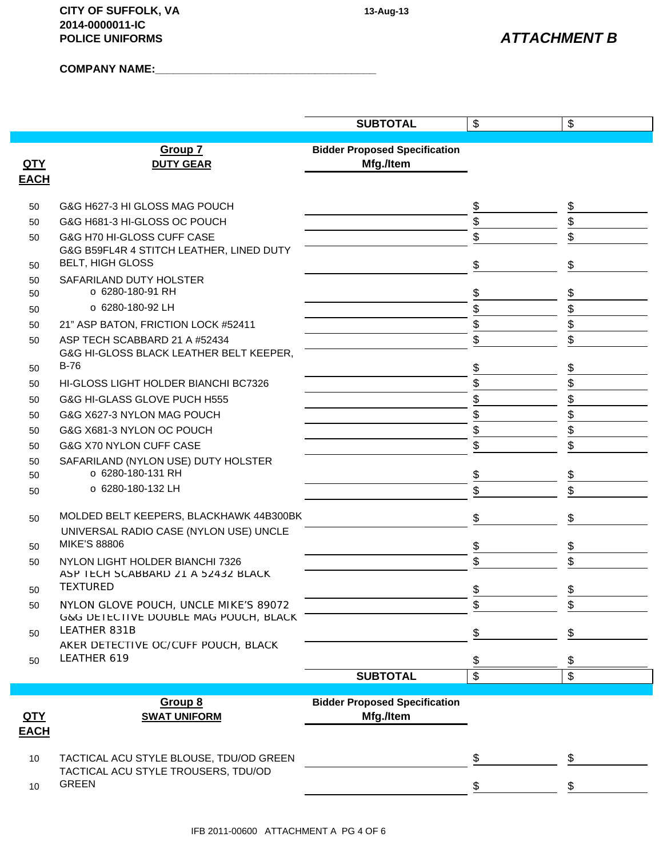**CITY OF SUFFOLK, VA 13-Aug-13 2014-0000011-IC POLICE UNIFORMS**

**COMPANY NAME:\_\_\_\_\_\_\_\_\_\_\_\_\_\_\_\_\_\_\_\_\_\_\_\_\_\_\_\_\_\_\_\_\_\_\_\_**

|             |                                                                                | <b>SUBTOTAL</b>                      | \$       | $\boldsymbol{\mathsf{\$}}$ |
|-------------|--------------------------------------------------------------------------------|--------------------------------------|----------|----------------------------|
|             |                                                                                |                                      |          |                            |
|             | Group 7                                                                        | <b>Bidder Proposed Specification</b> |          |                            |
| <u>QTY</u>  | <b>DUTY GEAR</b>                                                               | Mfg./Item                            |          |                            |
| <b>EACH</b> |                                                                                |                                      |          |                            |
| 50          | G&G H627-3 HI GLOSS MAG POUCH                                                  |                                      | \$       | \$                         |
| 50          | G&G H681-3 HI-GLOSS OC POUCH                                                   |                                      | \$       | \$                         |
| 50          | G&G H70 HI-GLOSS CUFF CASE                                                     |                                      | \$       | \$                         |
|             | G&G B59FL4R 4 STITCH LEATHER, LINED DUTY                                       |                                      |          |                            |
| 50          | <b>BELT, HIGH GLOSS</b>                                                        |                                      | \$       | \$                         |
| 50          | SAFARILAND DUTY HOLSTER                                                        |                                      |          |                            |
| 50          | ○ 6280-180-91 RH                                                               |                                      | \$       | \$                         |
| 50          | o 6280-180-92 LH                                                               |                                      | \$       | \$                         |
| 50          | 21" ASP BATON, FRICTION LOCK #52411                                            |                                      | \$       | \$                         |
| 50          | ASP TECH SCABBARD 21 A #52434                                                  |                                      | \$       | \$                         |
|             | G&G HI-GLOSS BLACK LEATHER BELT KEEPER,<br>$B-76$                              |                                      |          |                            |
| 50          |                                                                                |                                      | \$       | \$                         |
| 50          | HI-GLOSS LIGHT HOLDER BIANCHI BC7326                                           |                                      | \$       | \$                         |
| 50          | G&G HI-GLASS GLOVE PUCH H555                                                   |                                      | \$       | \$                         |
| 50          | G&G X627-3 NYLON MAG POUCH                                                     |                                      | \$<br>\$ | \$<br>\$                   |
| 50          | G&G X681-3 NYLON OC POUCH                                                      |                                      |          |                            |
| 50          | G&G X70 NYLON CUFF CASE                                                        |                                      | \$       | \$                         |
| 50<br>50    | SAFARILAND (NYLON USE) DUTY HOLSTER<br>○ 6280-180-131 RH                       |                                      | \$       | \$                         |
| 50          | o 6280-180-132 LH                                                              |                                      | \$       | \$                         |
|             |                                                                                |                                      |          |                            |
| 50          | MOLDED BELT KEEPERS, BLACKHAWK 44B300BK                                        |                                      | \$       | \$                         |
|             | UNIVERSAL RADIO CASE (NYLON USE) UNCLE                                         |                                      |          |                            |
| 50          | <b>MIKE'S 88806</b>                                                            |                                      | \$       | \$                         |
| 50          | NYLON LIGHT HOLDER BIANCHI 7326                                                |                                      | \$       | \$                         |
|             | ASP TECH SCABBARD 21 A 52432 BLACK                                             |                                      |          |                            |
| 50          | <b>TEXTURED</b>                                                                |                                      | \$       | \$                         |
| 50          | NYLON GLOVE POUCH, UNCLE MIKE'S 89072<br>G&G DETECTIVE DOUBLE MAG POUCH, BLACK |                                      | \$       | \$                         |
| 50          | LEATHER 831B                                                                   |                                      | \$       | \$                         |
|             | AKER DETECTIVE OC/CUFF POUCH, BLACK                                            |                                      |          |                            |
| 50          | LEATHER 619                                                                    |                                      | \$       |                            |
|             |                                                                                | <b>SUBTOTAL</b>                      | \$       | \$                         |
|             |                                                                                |                                      |          |                            |
|             | Group 8                                                                        | <b>Bidder Proposed Specification</b> |          |                            |
| <u>QTY</u>  | <b>SWAT UNIFORM</b>                                                            | Mfg./Item                            |          |                            |
| <b>EACH</b> |                                                                                |                                      |          |                            |
| 10          | TACTICAL ACU STYLE BLOUSE, TDU/OD GREEN                                        |                                      | \$       | \$                         |
|             | TACTICAL ACU STYLE TROUSERS, TDU/OD                                            |                                      |          |                            |
| 10          | <b>GREEN</b>                                                                   |                                      | \$       | \$                         |
|             |                                                                                |                                      |          |                            |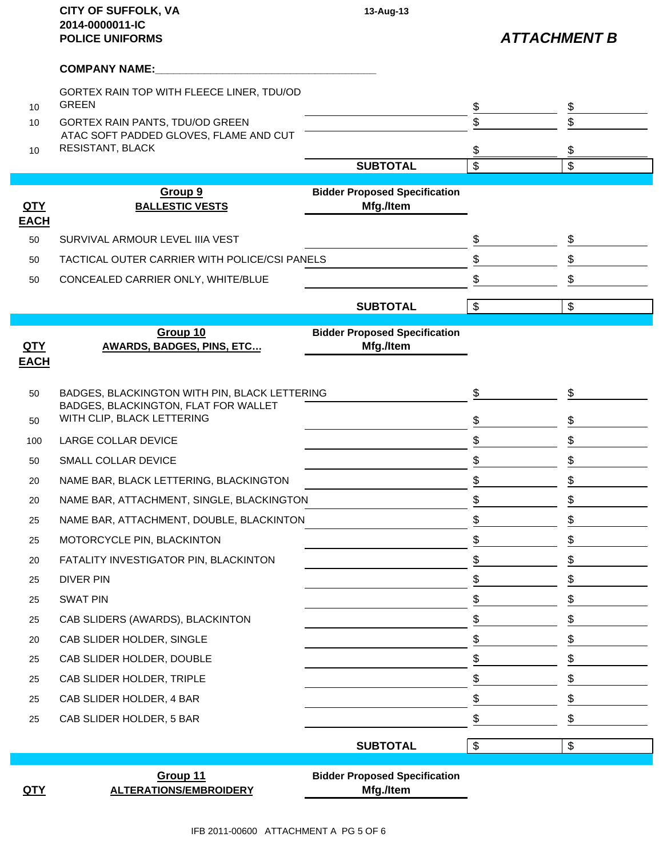|                           | <b>CITY OF SUFFOLK, VA</b><br>2014-0000011-IC<br><b>POLICE UNIFORMS</b>               | 13-Aug-13                                         |                         | <b>ATTACHMENT B</b> |
|---------------------------|---------------------------------------------------------------------------------------|---------------------------------------------------|-------------------------|---------------------|
|                           | <b>COMPANY NAME:</b>                                                                  |                                                   |                         |                     |
| 10 <sup>10</sup>          | GORTEX RAIN TOP WITH FLEECE LINER, TDU/OD<br><b>GREEN</b>                             |                                                   | $\frac{1}{2}$           | \$                  |
| 10                        | GORTEX RAIN PANTS, TDU/OD GREEN                                                       |                                                   | \$                      | \$                  |
| 10                        | ATAC SOFT PADDED GLOVES, FLAME AND CUT<br><b>RESISTANT, BLACK</b>                     |                                                   | \$                      | \$                  |
|                           |                                                                                       | <b>SUBTOTAL</b>                                   | \$                      | \$                  |
| QTY<br><b>EACH</b>        | Group 9<br><b>BALLESTIC VESTS</b>                                                     | <b>Bidder Proposed Specification</b><br>Mfg./Item |                         |                     |
| 50                        | SURVIVAL ARMOUR LEVEL IIIA VEST                                                       |                                                   | \$                      | \$                  |
| 50                        | TACTICAL OUTER CARRIER WITH POLICE/CSI PANELS                                         |                                                   | \$                      | \$                  |
| 50                        | CONCEALED CARRIER ONLY, WHITE/BLUE                                                    |                                                   | \$                      | \$                  |
|                           |                                                                                       | <b>SUBTOTAL</b>                                   | $\overline{\mathbf{e}}$ | $\$\$               |
|                           | Group 10                                                                              | <b>Bidder Proposed Specification</b>              |                         |                     |
| <u>QTY</u><br><b>EACH</b> | <b>AWARDS, BADGES, PINS, ETC</b>                                                      | Mfg./Item                                         |                         |                     |
| 50                        | BADGES, BLACKINGTON WITH PIN, BLACK LETTERING<br>BADGES, BLACKINGTON, FLAT FOR WALLET |                                                   | \$                      | \$                  |
| 50                        | WITH CLIP, BLACK LETTERING                                                            |                                                   | \$                      | \$                  |
| 100                       | <b>LARGE COLLAR DEVICE</b>                                                            |                                                   | \$                      | \$                  |
| 50                        | SMALL COLLAR DEVICE                                                                   |                                                   | \$                      | \$                  |
| 20                        | NAME BAR, BLACK LETTERING, BLACKINGTON                                                |                                                   | \$                      | \$                  |
| 20                        | NAME BAR, ATTACHMENT, SINGLE, BLACKINGTON                                             |                                                   | \$                      | \$                  |
| 25                        | NAME BAR, ATTACHMENT, DOUBLE, BLACKINTON                                              |                                                   | \$                      | \$                  |
| 25                        | MOTORCYCLE PIN, BLACKINTON                                                            |                                                   | \$                      | \$                  |
| 20                        | FATALITY INVESTIGATOR PIN, BLACKINTON                                                 |                                                   | \$                      | \$                  |
| 25                        | <b>DIVER PIN</b>                                                                      |                                                   | \$                      | \$                  |
| 25                        | <b>SWAT PIN</b>                                                                       |                                                   | \$                      | \$                  |
| 25                        | CAB SLIDERS (AWARDS), BLACKINTON                                                      |                                                   | \$                      | \$                  |
| 20                        | CAB SLIDER HOLDER, SINGLE                                                             |                                                   | \$                      | \$                  |
| 25                        | CAB SLIDER HOLDER, DOUBLE                                                             |                                                   | \$                      | \$                  |
| 25                        | CAB SLIDER HOLDER, TRIPLE                                                             |                                                   | \$                      | \$                  |
| 25                        | CAB SLIDER HOLDER, 4 BAR                                                              |                                                   | \$                      | \$                  |
| 25                        | CAB SLIDER HOLDER, 5 BAR                                                              |                                                   | \$                      | \$                  |
|                           |                                                                                       | <b>SUBTOTAL</b>                                   | $\$\$                   | $\$\$               |
| <u>QTY</u>                | Group 11<br><b>ALTERATIONS/EMBROIDERY</b>                                             | <b>Bidder Proposed Specification</b><br>Mfg./Item |                         |                     |